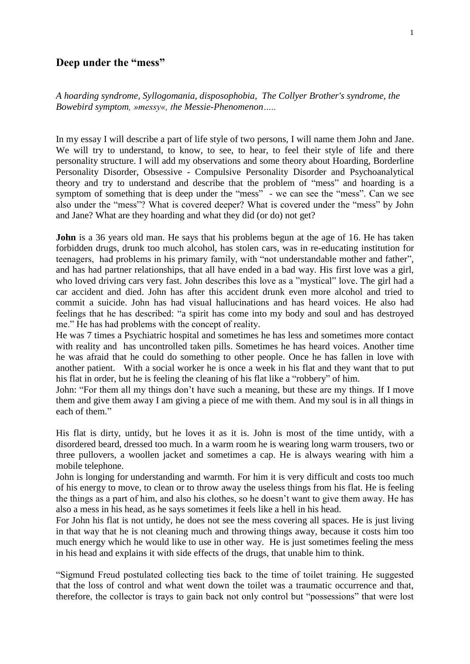## **Deep under the "mess"**

*A hoarding syndrome, Syllogomania, disposophobia, The Collyer Brother's syndrome, the Bowebird symptom, »messy«, the Messie-Phenomenon…..*

In my essay I will describe a part of life style of two persons, I will name them John and Jane. We will try to understand, to know, to see, to hear, to feel their style of life and there personality structure. I will add my observations and some theory about Hoarding, Borderline Personality Disorder, Obsessive - Compulsive Personality Disorder and Psychoanalytical theory and try to understand and describe that the problem of "mess" and hoarding is a symptom of something that is deep under the "mess" - we can see the "mess". Can we see also under the "mess"? What is covered deeper? What is covered under the "mess" by John and Jane? What are they hoarding and what they did (or do) not get?

**John** is a 36 years old man. He says that his problems begun at the age of 16. He has taken forbidden drugs, drunk too much alcohol, has stolen cars, was in re-educating institution for teenagers, had problems in his primary family, with "not understandable mother and father", and has had partner relationships, that all have ended in a bad way. His first love was a girl, who loved driving cars very fast. John describes this love as a "mystical" love. The girl had a car accident and died. John has after this accident drunk even more alcohol and tried to commit a suicide. John has had visual hallucinations and has heard voices. He also had feelings that he has described: "a spirit has come into my body and soul and has destroyed me." He has had problems with the concept of reality.

He was 7 times a Psychiatric hospital and sometimes he has less and sometimes more contact with reality and has uncontrolled taken pills. Sometimes he has heard voices. Another time he was afraid that he could do something to other people. Once he has fallen in love with another patient. With a social worker he is once a week in his flat and they want that to put his flat in order, but he is feeling the cleaning of his flat like a "robbery" of him.

John: "For them all my things don't have such a meaning, but these are my things. If I move them and give them away I am giving a piece of me with them. And my soul is in all things in each of them."

His flat is dirty, untidy, but he loves it as it is. John is most of the time untidy, with a disordered beard, dressed too much. In a warm room he is wearing long warm trousers, two or three pullovers, a woollen jacket and sometimes a cap. He is always wearing with him a mobile telephone.

John is longing for understanding and warmth. For him it is very difficult and costs too much of his energy to move, to clean or to throw away the useless things from his flat. He is feeling the things as a part of him, and also his clothes, so he doesn't want to give them away. He has also a mess in his head, as he says sometimes it feels like a hell in his head.

For John his flat is not untidy, he does not see the mess covering all spaces. He is just living in that way that he is not cleaning much and throwing things away, because it costs him too much energy which he would like to use in other way. He is just sometimes feeling the mess in his head and explains it with side effects of the drugs, that unable him to think.

"Sigmund Freud postulated collecting ties back to the time of toilet training. He suggested that the loss of control and what went down the toilet was a traumatic occurrence and that, therefore, the collector is trays to gain back not only control but "possessions" that were lost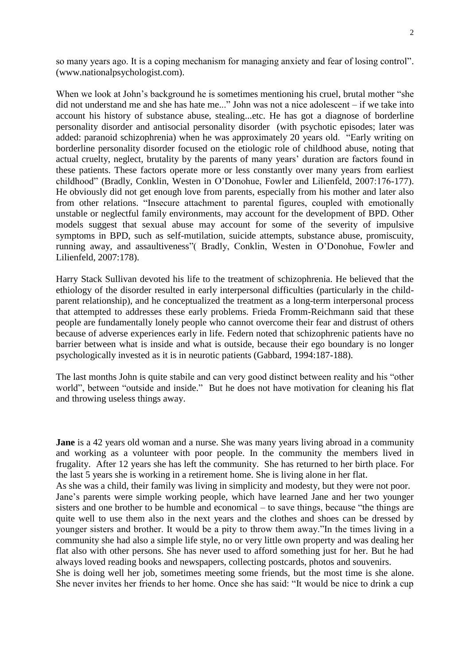so many years ago. It is a coping mechanism for managing anxiety and fear of losing control". (www.nationalpsychologist.com).

When we look at John's background he is sometimes mentioning his cruel, brutal mother "she did not understand me and she has hate me..." John was not a nice adolescent – if we take into account his history of substance abuse, stealing...etc. He has got a diagnose of borderline personality disorder and antisocial personality disorder (with psychotic episodes; later was added: paranoid schizophrenia) when he was approximately 20 years old. "Early writing on borderline personality disorder focused on the etiologic role of childhood abuse, noting that actual cruelty, neglect, brutality by the parents of many years' duration are factors found in these patients. These factors operate more or less constantly over many years from earliest childhood" (Bradly, Conklin, Westen in O'Donohue, Fowler and Lilienfeld, 2007:176-177). He obviously did not get enough love from parents, especially from his mother and later also from other relations. "Insecure attachment to parental figures, coupled with emotionally unstable or neglectful family environments, may account for the development of BPD. Other models suggest that sexual abuse may account for some of the severity of impulsive symptoms in BPD, such as self-mutilation, suicide attempts, substance abuse, promiscuity, running away, and assaultiveness"( Bradly, Conklin, Westen in O'Donohue, Fowler and Lilienfeld, 2007:178).

Harry Stack Sullivan devoted his life to the treatment of schizophrenia. He believed that the ethiology of the disorder resulted in early interpersonal difficulties (particularly in the childparent relationship), and he conceptualized the treatment as a long-term interpersonal process that attempted to addresses these early problems. Frieda Fromm-Reichmann said that these people are fundamentally lonely people who cannot overcome their fear and distrust of others because of adverse experiences early in life. Federn noted that schizophrenic patients have no barrier between what is inside and what is outside, because their ego boundary is no longer psychologically invested as it is in neurotic patients (Gabbard, 1994:187-188).

The last months John is quite stabile and can very good distinct between reality and his "other world", between "outside and inside." But he does not have motivation for cleaning his flat and throwing useless things away.

**Jane** is a 42 years old woman and a nurse. She was many years living abroad in a community and working as a volunteer with poor people. In the community the members lived in frugality. After 12 years she has left the community. She has returned to her birth place. For the last 5 years she is working in a retirement home. She is living alone in her flat.

As she was a child, their family was living in simplicity and modesty, but they were not poor. Jane's parents were simple working people, which have learned Jane and her two younger sisters and one brother to be humble and economical – to save things, because "the things are quite well to use them also in the next years and the clothes and shoes can be dressed by younger sisters and brother. It would be a pity to throw them away."In the times living in a community she had also a simple life style, no or very little own property and was dealing her flat also with other persons. She has never used to afford something just for her. But he had always loved reading books and newspapers, collecting postcards, photos and souvenirs.

She is doing well her job, sometimes meeting some friends, but the most time is she alone. She never invites her friends to her home. Once she has said: "It would be nice to drink a cup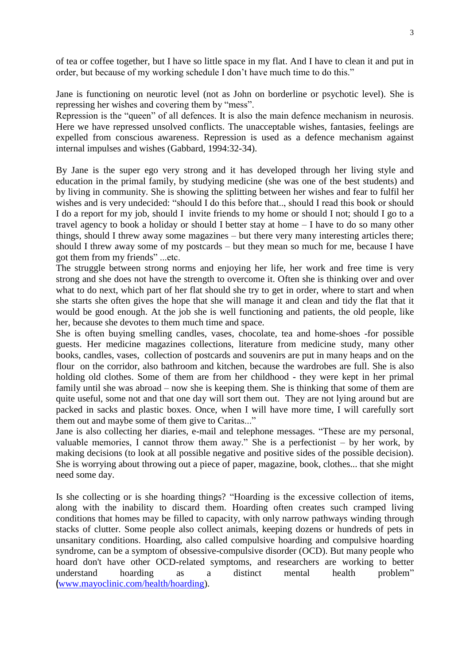of tea or coffee together, but I have so little space in my flat. And I have to clean it and put in order, but because of my working schedule I don't have much time to do this."

Jane is functioning on neurotic level (not as John on borderline or psychotic level). She is repressing her wishes and covering them by "mess".

Repression is the "queen" of all defences. It is also the main defence mechanism in neurosis. Here we have repressed unsolved conflicts. The unacceptable wishes, fantasies, feelings are expelled from conscious awareness. Repression is used as a defence mechanism against internal impulses and wishes (Gabbard, 1994:32-34).

By Jane is the super ego very strong and it has developed through her living style and education in the primal family, by studying medicine (she was one of the best students) and by living in community. She is showing the splitting between her wishes and fear to fulfil her wishes and is very undecided: "should I do this before that.., should I read this book or should I do a report for my job, should I invite friends to my home or should I not; should I go to a travel agency to book a holiday or should I better stay at home – I have to do so many other things, should I threw away some magazines – but there very many interesting articles there; should I threw away some of my postcards – but they mean so much for me, because I have got them from my friends" ...etc.

The struggle between strong norms and enjoying her life, her work and free time is very strong and she does not have the strength to overcome it. Often she is thinking over and over what to do next, which part of her flat should she try to get in order, where to start and when she starts she often gives the hope that she will manage it and clean and tidy the flat that it would be good enough. At the job she is well functioning and patients, the old people, like her, because she devotes to them much time and space.

She is often buying smelling candles, vases, chocolate, tea and home-shoes -for possible guests. Her medicine magazines collections, literature from medicine study, many other books, candles, vases, collection of postcards and souvenirs are put in many heaps and on the flour on the corridor, also bathroom and kitchen, because the wardrobes are full. She is also holding old clothes. Some of them are from her childhood - they were kept in her primal family until she was abroad – now she is keeping them. She is thinking that some of them are quite useful, some not and that one day will sort them out. They are not lying around but are packed in sacks and plastic boxes. Once, when I will have more time, I will carefully sort them out and maybe some of them give to Caritas..."

Jane is also collecting her diaries, e-mail and telephone messages. "These are my personal, valuable memories, I cannot throw them away." She is a perfectionist – by her work, by making decisions (to look at all possible negative and positive sides of the possible decision). She is worrying about throwing out a piece of paper, magazine, book, clothes... that she might need some day.

Is she collecting or is she hoarding things? "Hoarding is the excessive collection of items, along with the inability to discard them. Hoarding often creates such cramped living conditions that homes may be filled to capacity, with only narrow pathways winding through stacks of clutter. Some people also collect animals, keeping dozens or hundreds of pets in unsanitary conditions. Hoarding, also called compulsive hoarding and compulsive hoarding syndrome, can be a symptom of obsessive-compulsive disorder (OCD). But many people who hoard don't have other OCD-related symptoms, and researchers are working to better understand hoarding as a distinct mental health problem" **(**[www.mayoclinic.com/health/hoarding\)](http://www.mayoclinic.com/health/hoarding).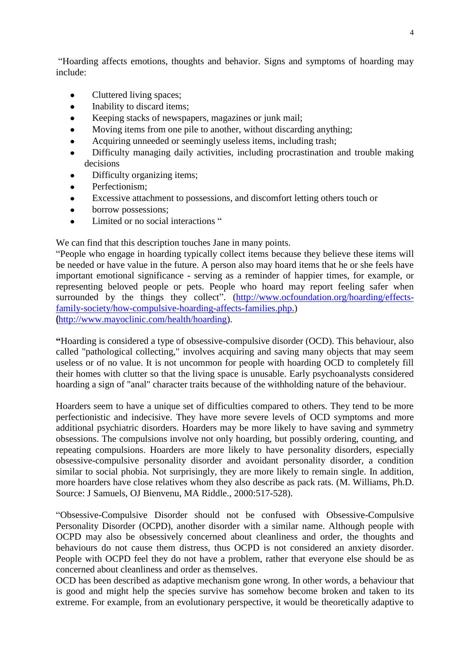"Hoarding affects emotions, thoughts and behavior. Signs and symptoms of hoarding may include:

- Cluttered living spaces;  $\bullet$
- Inability to discard items;
- Keeping stacks of newspapers, magazines or junk mail;
- Moving items from one pile to another, without discarding anything;  $\bullet$
- Acquiring unneeded or seemingly useless items, including trash;
- Difficulty managing daily activities, including procrastination and trouble making decisions
- Difficulty organizing items;
- Perfectionism;  $\bullet$
- Excessive attachment to possessions, and discomfort letting others touch or  $\bullet$
- borrow possessions;  $\bullet$
- Limited or no social interactions "

We can find that this description touches Jane in many points.

"People who engage in hoarding typically collect items because they believe these items will be needed or have value in the future. A person also may hoard items that he or she feels have important emotional significance - serving as a reminder of happier times, for example, or representing beloved people or pets. People who hoard may report feeling safer when surrounded by the things they collect". [\(http://www.ocfoundation.org/hoarding/effects](http://www.ocfoundation.org/hoarding/effects-family-society/how-compulsive-hoarding-affects-families.php)[family-society/how-compulsive-hoarding-affects-families.php.](http://www.ocfoundation.org/hoarding/effects-family-society/how-compulsive-hoarding-affects-families.php)) **(**[http://www.mayoclinic.com/health/hoarding\)](http://www.mayoclinic.com/health/hoarding).

**"**Hoarding is considered a type of obsessive-compulsive disorder (OCD). This behaviour, also called "pathological collecting," involves acquiring and saving many objects that may seem useless or of no value. It is not uncommon for people with hoarding OCD to completely fill their homes with clutter so that the living space is unusable. Early psychoanalysts considered hoarding a sign of "anal" character traits because of the withholding nature of the behaviour.

Hoarders seem to have a unique set of difficulties compared to others. They tend to be more perfectionistic and indecisive. They have more severe levels of OCD symptoms and more additional psychiatric disorders. Hoarders may be more likely to have saving and symmetry obsessions. The compulsions involve not only hoarding, but possibly ordering, counting, and repeating compulsions. Hoarders are more likely to have personality disorders, especially obsessive-compulsive personality disorder and avoidant personality disorder, a condition similar to social phobia. Not surprisingly, they are more likely to remain single. In addition, more hoarders have close relatives whom they also describe as pack rats. (M. Williams, Ph.D. Source: J Samuels, OJ Bienvenu, MA Riddle., 2000:517-528).

"Obsessive-Compulsive Disorder should not be confused with Obsessive-Compulsive Personality Disorder (OCPD), another disorder with a similar name. Although people with OCPD may also be obsessively concerned about cleanliness and order, the thoughts and behaviours do not cause them distress, thus OCPD is not considered an anxiety disorder. People with OCPD feel they do not have a problem, rather that everyone else should be as concerned about cleanliness and order as themselves.

OCD has been described as adaptive mechanism gone wrong. In other words, a behaviour that is good and might help the species survive has somehow become broken and taken to its extreme. For example, from an evolutionary perspective, it would be theoretically adaptive to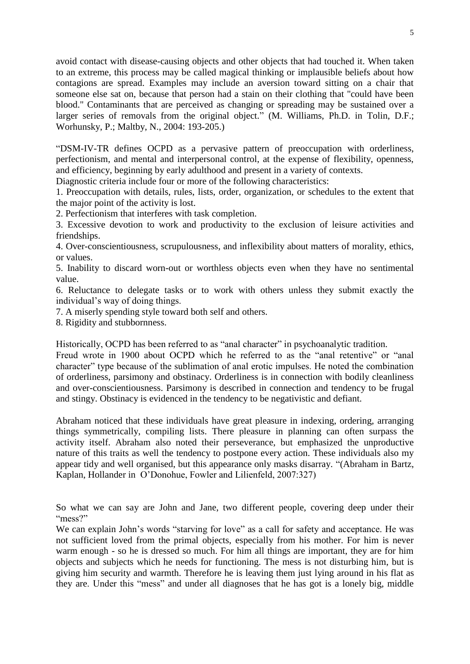avoid contact with disease-causing objects and other objects that had touched it. When taken to an extreme, this process may be called magical thinking or implausible beliefs about how contagions are spread. Examples may include an aversion toward sitting on a chair that someone else sat on, because that person had a stain on their clothing that "could have been blood." Contaminants that are perceived as changing or spreading may be sustained over a larger series of removals from the original object." (M. Williams, Ph.D. in Tolin, D.F.; Worhunsky, P.; Maltby, N., 2004: 193-205.)

"DSM-IV-TR defines OCPD as a pervasive pattern of preoccupation with orderliness, perfectionism, and mental and interpersonal control, at the expense of flexibility, openness, and efficiency, beginning by early adulthood and present in a variety of contexts.

Diagnostic criteria include four or more of the following characteristics:

1. Preoccupation with details, rules, lists, order, organization, or schedules to the extent that the major point of the activity is lost.

2. Perfectionism that interferes with task completion.

3. Excessive devotion to work and productivity to the exclusion of leisure activities and friendships.

4. Over-conscientiousness, scrupulousness, and inflexibility about matters of morality, ethics, or values.

5. Inability to discard worn-out or worthless objects even when they have no sentimental value.

6. Reluctance to delegate tasks or to work with others unless they submit exactly the individual's way of doing things.

7. A miserly spending style toward both self and others.

8. Rigidity and stubbornness.

Historically, OCPD has been referred to as "anal character" in psychoanalytic tradition.

Freud wrote in 1900 about OCPD which he referred to as the "anal retentive" or "anal character" type because of the sublimation of anal erotic impulses. He noted the combination of orderliness, parsimony and obstinacy. Orderliness is in connection with bodily cleanliness and over-conscientiousness. Parsimony is described in connection and tendency to be frugal and stingy. Obstinacy is evidenced in the tendency to be negativistic and defiant.

Abraham noticed that these individuals have great pleasure in indexing, ordering, arranging things symmetrically, compiling lists. There pleasure in planning can often surpass the activity itself. Abraham also noted their perseverance, but emphasized the unproductive nature of this traits as well the tendency to postpone every action. These individuals also my appear tidy and well organised, but this appearance only masks disarray. "(Abraham in Bartz, Kaplan, Hollander in O'Donohue, Fowler and Lilienfeld, 2007:327)

So what we can say are John and Jane, two different people, covering deep under their "mess?"

We can explain John's words "starving for love" as a call for safety and acceptance. He was not sufficient loved from the primal objects, especially from his mother. For him is never warm enough - so he is dressed so much. For him all things are important, they are for him objects and subjects which he needs for functioning. The mess is not disturbing him, but is giving him security and warmth. Therefore he is leaving them just lying around in his flat as they are. Under this "mess" and under all diagnoses that he has got is a lonely big, middle